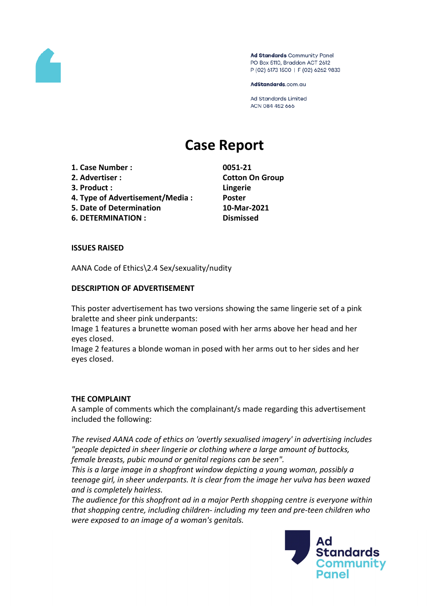

Ad Standards Community Panel PO Box 5110, Braddon ACT 2612 P (02) 6173 1500 | F (02) 6262 9833

AdStandards.com.au

**Ad Standards Limited** ACN 084 452 666

# **Case Report**

- **1. Case Number : 0051-21**
- **2. Advertiser : Cotton On Group**
- **3. Product : Lingerie**
- **4. Type of Advertisement/Media : Poster**
- **5. Date of Determination 10-Mar-2021**
- **6. DETERMINATION : Dismissed**

# **ISSUES RAISED**

AANA Code of Ethics\2.4 Sex/sexuality/nudity

# **DESCRIPTION OF ADVERTISEMENT**

This poster advertisement has two versions showing the same lingerie set of a pink bralette and sheer pink underpants:

Image 1 features a brunette woman posed with her arms above her head and her eyes closed.

Image 2 features a blonde woman in posed with her arms out to her sides and her eyes closed.

## **THE COMPLAINT**

A sample of comments which the complainant/s made regarding this advertisement included the following:

*The revised AANA code of ethics on 'overtly sexualised imagery' in advertising includes "people depicted in sheer lingerie or clothing where a large amount of buttocks, female breasts, pubic mound or genital regions can be seen".*

*This is a large image in a shopfront window depicting a young woman, possibly a teenage girl, in sheer underpants. It is clear from the image her vulva has been waxed and is completely hairless.*

*The audience for this shopfront ad in a major Perth shopping centre is everyone within that shopping centre, including children- including my teen and pre-teen children who were exposed to an image of a woman's genitals.*

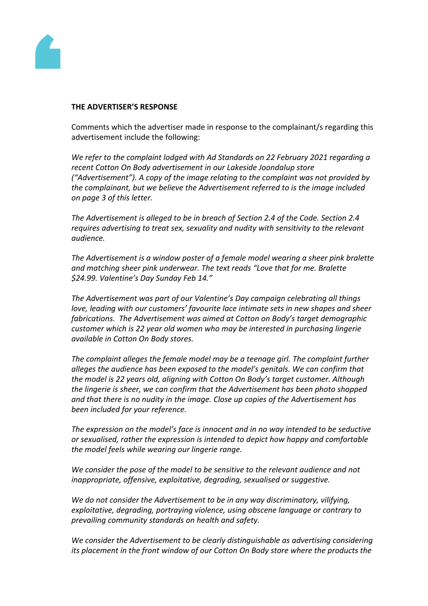

#### **THE ADVERTISER'S RESPONSE**

Comments which the advertiser made in response to the complainant/s regarding this advertisement include the following:

*We refer to the complaint lodged with Ad Standards on 22 February 2021 regarding a recent Cotton On Body advertisement in our Lakeside Joondalup store ("Advertisement"). A copy of the image relating to the complaint was not provided by the complainant, but we believe the Advertisement referred to is the image included on page 3 of this letter.*

*The Advertisement is alleged to be in breach of Section 2.4 of the Code. Section 2.4 requires advertising to treat sex, sexuality and nudity with sensitivity to the relevant audience.*

*The Advertisement is a window poster of a female model wearing a sheer pink bralette and matching sheer pink underwear. The text reads "Love that for me. Bralette \$24.99. Valentine's Day Sunday Feb 14."*

*The Advertisement was part of our Valentine's Day campaign celebrating all things love, leading with our customers' favourite lace intimate sets in new shapes and sheer fabrications. The Advertisement was aimed at Cotton on Body's target demographic customer which is 22 year old women who may be interested in purchasing lingerie available in Cotton On Body stores.*

*The complaint alleges the female model may be a teenage girl. The complaint further alleges the audience has been exposed to the model's genitals. We can confirm that the model is 22 years old, aligning with Cotton On Body's target customer. Although the lingerie is sheer, we can confirm that the Advertisement has been photo shopped and that there is no nudity in the image. Close up copies of the Advertisement has been included for your reference.* 

*The expression on the model's face is innocent and in no way intended to be seductive or sexualised, rather the expression is intended to depict how happy and comfortable the model feels while wearing our lingerie range.*

*We consider the pose of the model to be sensitive to the relevant audience and not inappropriate, offensive, exploitative, degrading, sexualised or suggestive.*

*We do not consider the Advertisement to be in any way discriminatory, vilifying, exploitative, degrading, portraying violence, using obscene language or contrary to prevailing community standards on health and safety.*

*We consider the Advertisement to be clearly distinguishable as advertising considering its placement in the front window of our Cotton On Body store where the products the*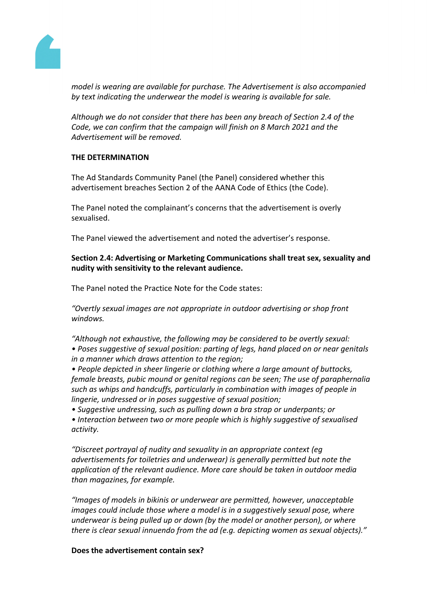

*model is wearing are available for purchase. The Advertisement is also accompanied by text indicating the underwear the model is wearing is available for sale.*

*Although we do not consider that there has been any breach of Section 2.4 of the Code, we can confirm that the campaign will finish on 8 March 2021 and the Advertisement will be removed.*

## **THE DETERMINATION**

The Ad Standards Community Panel (the Panel) considered whether this advertisement breaches Section 2 of the AANA Code of Ethics (the Code).

The Panel noted the complainant's concerns that the advertisement is overly sexualised.

The Panel viewed the advertisement and noted the advertiser's response.

# **Section 2.4: Advertising or Marketing Communications shall treat sex, sexuality and nudity with sensitivity to the relevant audience.**

The Panel noted the Practice Note for the Code states:

*"Overtly sexual images are not appropriate in outdoor advertising or shop front windows.*

*"Although not exhaustive, the following may be considered to be overtly sexual:*

*• Poses suggestive of sexual position: parting of legs, hand placed on or near genitals in a manner which draws attention to the region;*

*• People depicted in sheer lingerie or clothing where a large amount of buttocks, female breasts, pubic mound or genital regions can be seen; The use of paraphernalia such as whips and handcuffs, particularly in combination with images of people in lingerie, undressed or in poses suggestive of sexual position;*

*• Suggestive undressing, such as pulling down a bra strap or underpants; or*

*• Interaction between two or more people which is highly suggestive of sexualised activity.*

*"Discreet portrayal of nudity and sexuality in an appropriate context (eg advertisements for toiletries and underwear) is generally permitted but note the application of the relevant audience. More care should be taken in outdoor media than magazines, for example.*

*"Images of models in bikinis or underwear are permitted, however, unacceptable images could include those where a model is in a suggestively sexual pose, where underwear is being pulled up or down (by the model or another person), or where there is clear sexual innuendo from the ad (e.g. depicting women as sexual objects)."*

## **Does the advertisement contain sex?**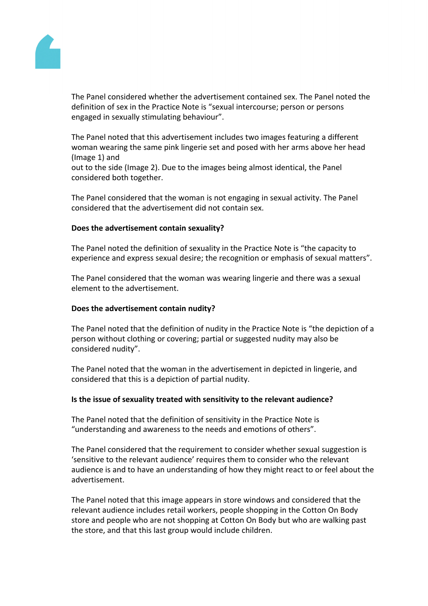

The Panel considered whether the advertisement contained sex. The Panel noted the definition of sex in the Practice Note is "sexual intercourse; person or persons engaged in sexually stimulating behaviour".

The Panel noted that this advertisement includes two images featuring a different woman wearing the same pink lingerie set and posed with her arms above her head (Image 1) and

out to the side (Image 2). Due to the images being almost identical, the Panel considered both together.

The Panel considered that the woman is not engaging in sexual activity. The Panel considered that the advertisement did not contain sex.

## **Does the advertisement contain sexuality?**

The Panel noted the definition of sexuality in the Practice Note is "the capacity to experience and express sexual desire; the recognition or emphasis of sexual matters".

The Panel considered that the woman was wearing lingerie and there was a sexual element to the advertisement.

## **Does the advertisement contain nudity?**

The Panel noted that the definition of nudity in the Practice Note is "the depiction of a person without clothing or covering; partial or suggested nudity may also be considered nudity".

The Panel noted that the woman in the advertisement in depicted in lingerie, and considered that this is a depiction of partial nudity.

#### **Is the issue of sexuality treated with sensitivity to the relevant audience?**

The Panel noted that the definition of sensitivity in the Practice Note is "understanding and awareness to the needs and emotions of others".

The Panel considered that the requirement to consider whether sexual suggestion is 'sensitive to the relevant audience' requires them to consider who the relevant audience is and to have an understanding of how they might react to or feel about the advertisement.

The Panel noted that this image appears in store windows and considered that the relevant audience includes retail workers, people shopping in the Cotton On Body store and people who are not shopping at Cotton On Body but who are walking past the store, and that this last group would include children.